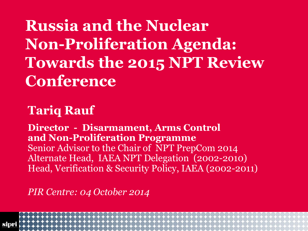**Russia and the Nuclear Non-Proliferation Agenda: Towards the 2015 NPT Review Conference**

## **Tariq Rauf**

**Director - Disarmament, Arms Control and Non-Proliferation Programme** Senior Advisor to the Chair of NPT PrepCom 2014 Alternate Head, IAEA NPT Delegation (2002-2010) Head, Verification & Security Policy, IAEA (2002-2011)

*PIR Centre: 04 October 2014*

2014-10-08 Footer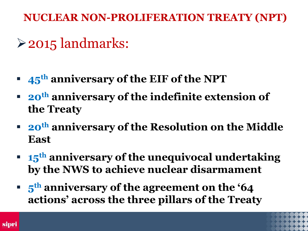## 2015 landmarks:

- **45th anniversary of the EIF of the NPT**
- **20th anniversary of the indefinite extension of the Treaty**
- **20th anniversary of the Resolution on the Middle East**
- **15th anniversary of the unequivocal undertaking by the NWS to achieve nuclear disarmament**
- **5 th anniversary of the agreement on the '64 actions' across the three pillars of the Treaty**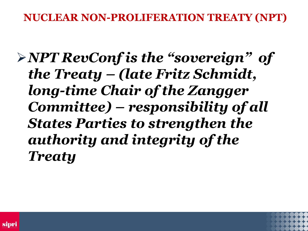*NPT RevConf is the "sovereign" of the Treaty – (late Fritz Schmidt, long-time Chair of the Zangger Committee) – responsibility of all States Parties to strengthen the authority and integrity of the Treaty*



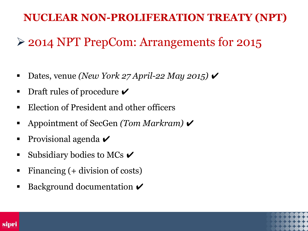## 2014 NPT PrepCom: Arrangements for 2015

- Dates, venue *(New York 27 April-22 May 2015)*
- **Draft rules of procedure**  $\boldsymbol{\checkmark}$
- Election of President and other officers
- Appointment of SecGen *(Tom Markram)* ✔
- **Provisional agenda**  $\vee$
- Subsidiary bodies to MCs  $\triangledown$
- Financing (+ division of costs)
- **Background documentation**  $\mathcal V$



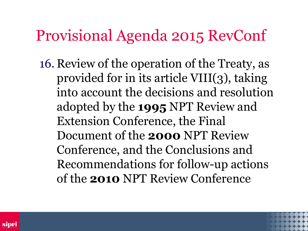# Provisional Agenda 2015 RevConf

16. Review of the operation of the Treaty, as provided for in its article VIII(3), taking into account the decisions and resolution adopted by the **1995** NPT Review and Extension Conference, the Final Document of the **2000** NPT Review Conference, and the Conclusions and Recommendations for follow-up actions of the **2010** NPT Review Conference

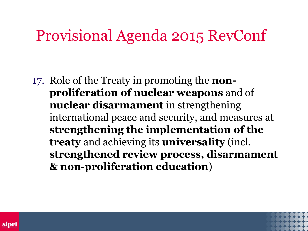## Provisional Agenda 2015 RevConf

17. Role of the Treaty in promoting the **nonproliferation of nuclear weapons** and of **nuclear disarmament** in strengthening international peace and security, and measures at **strengthening the implementation of the treaty** and achieving its **universality** (incl. **strengthened review process, disarmament & non-proliferation education**)

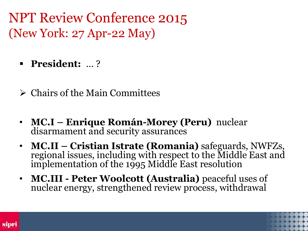NPT Review Conference 2015 (New York: 27 Apr-22 May)

- **President:** … ?
- $\triangleright$  Chairs of the Main Committees
- **MC.I – Enrique Román-Morey (Peru)** nuclear disarmament and security assurances
- **MC.II – Cristian Istrate (Romania)** safeguards, NWFZs, regional issues, including with respect to the Middle East and implementation of the 1995 Middle East resolution
- **MC.III - Peter Woolcott (Australia)** peaceful uses of nuclear energy, strengthened review process, withdrawal

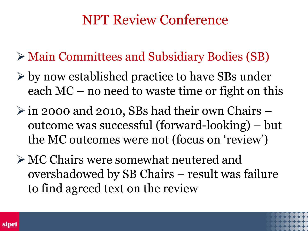- Main Committees and Subsidiary Bodies (SB)
- $\triangleright$  by now established practice to have SBs under each MC – no need to waste time or fight on this
- $\triangleright$  in 2000 and 2010, SBs had their own Chairs outcome was successful (forward-looking) – but the MC outcomes were not (focus on 'review')
- MC Chairs were somewhat neutered and overshadowed by SB Chairs – result was failure to find agreed text on the review

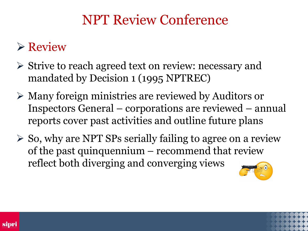## $\triangleright$  Review

- Strive to reach agreed text on review: necessary and mandated by Decision 1 (1995 NPTREC)
- Many foreign ministries are reviewed by Auditors or Inspectors General – corporations are reviewed – annual reports cover past activities and outline future plans
- $\triangleright$  So, why are NPT SPs serially failing to agree on a review of the past quinquennium – recommend that review reflect both diverging and converging views



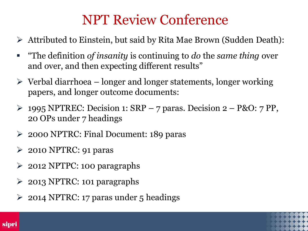- Attributed to Einstein, but said by Rita Mae Brown (Sudden Death):
- "The definition *of insanity* is continuing to *do* the *same thing* over and over, and then expecting different results"
- $\triangleright$  Verbal diarrhoea longer and longer statements, longer working papers, and longer outcome documents:
- $\geq$  1995 NPTREC: Decision 1: SRP 7 paras. Decision 2 P&O: 7 PP, 20 OPs under 7 headings
- 2000 NPTRC: Final Document: 189 paras
- $\geq$  2010 NPTRC: 91 paras
- 2012 NPTPC: 100 paragraphs
- 2013 NPTRC: 101 paragraphs
- $\geq 2014$  NPTRC: 17 paras under 5 headings

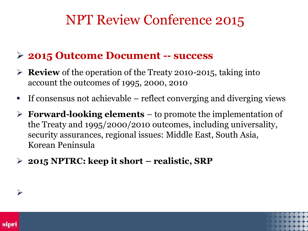### **2015 Outcome Document -- success**

- **Review** of the operation of the Treaty 2010-2015, taking into account the outcomes of 1995, 2000, 2010
- If consensus not achievable  $-$  reflect converging and diverging views
- **Forward-looking elements**  to promote the implementation of the Treaty and 1995/2000/2010 outcomes, including universality, security assurances, regional issues: Middle East, South Asia, Korean Peninsula
- **2015 NPTRC: keep it short – realistic, SRP**





 $\blacktriangleright$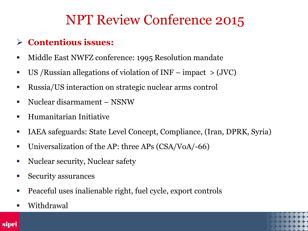#### **Contentious issues:**

- Middle East NWFZ conference: 1995 Resolution mandate
- US /Russian allegations of violation of INF impact > (JVC)
- Russia/US interaction on strategic nuclear arms control
- Nuclear disarmament NSNW
- Humanitarian Initiative
- IAEA safeguards: State Level Concept, Compliance, (Iran, DPRK, Syria)
- Universalization of the AP: three APs (CSA/VoA/-66)
- Nuclear security, Nuclear safety
- **Security assurances**
- Peaceful uses inalienable right, fuel cycle, export controls
- Withdrawal

sipri

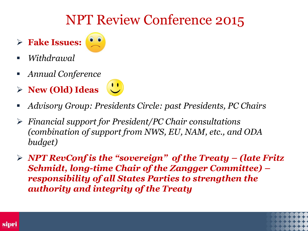- **Fake Issues:**
- 
- *Withdrawal*
- *Annual Conference*
- **New (Old) Ideas**
- *Advisory Group: Presidents Circle: past Presidents, PC Chairs*
- *Financial support for President/PC Chair consultations (combination of support from NWS, EU, NAM, etc., and ODA budget)*
- *NPT RevConf is the "sovereign" of the Treaty – (late Fritz Schmidt, long-time Chair of the Zangger Committee) – responsibility of all States Parties to strengthen the authority and integrity of the Treaty*



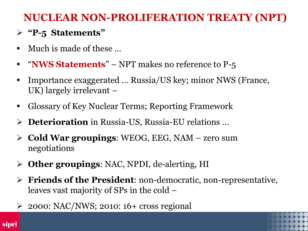#### **"P-5 Statements"**

- $\blacksquare$  Much is made of these  $\ldots$
- **" "NWS Statements"** NPT makes no reference to P-5
- Importance exaggerated ... Russia/US key; minor NWS (France, UK) largely irrelevant –
- Glossary of Key Nuclear Terms; Reporting Framework
- **Deterioration** in Russia-US, Russia-EU relations …
- **Cold War groupings**: WEOG, EEG, NAM zero sum negotiations
- **Other groupings**: NAC, NPDI, de-alerting, HI
- **Friends of the President**: non-democratic, non-representative, leaves vast majority of SPs in the cold –
- 2000: NAC/NWS; 2010: 16+ cross regional



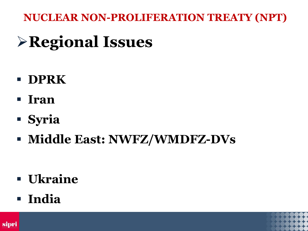# **Regional Issues**

- **DPRK**
- **Iran**
- **Syria**
- **Middle East: NWFZ/WMDFZ-DVs**

- **Ukraine**
- **India**

sipri

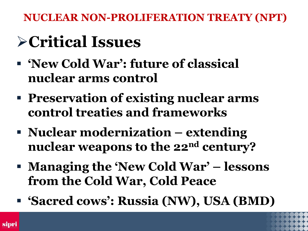# **Critical Issues**

- **'New Cold War': future of classical nuclear arms control**
- **Preservation of existing nuclear arms control treaties and frameworks**
- **Nuclear modernization – extending nuclear weapons to the 22nd century?**
- **Managing the 'New Cold War' – lessons from the Cold War, Cold Peace**
- **'Sacred cows': Russia (NW), USA (BMD)**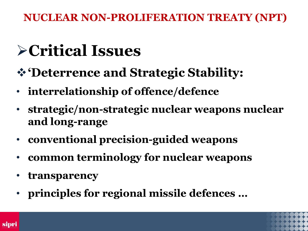# **Critical Issues**

- **'Deterrence and Strategic Stability:**
- **interrelationship of offence/defence**
- **strategic/non-strategic nuclear weapons nuclear and long-range**
- **conventional precision-guided weapons**
- **common terminology for nuclear weapons**
- **transparency**
- **principles for regional missile defences …**

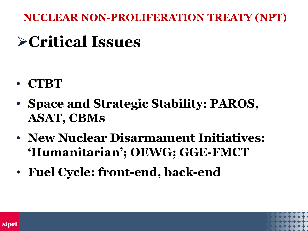# **Critical Issues**

- **CTBT**
- **Space and Strategic Stability: PAROS, ASAT, CBMs**
- **New Nuclear Disarmament Initiatives: 'Humanitarian'; OEWG; GGE-FMCT**
- **Fuel Cycle: front-end, back-end**



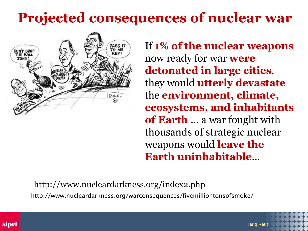# **Projected consequences of nuclear war**



If **1% of the nuclear weapons**  now ready for war **were detonated in large cities**, they would **utterly devastate** the **environment, climate, ecosystems, and inhabitants of Earth** … a war fought with thousands of strategic nuclear weapons would **leave the Earth uninhabitable**…

**Tariq Rauf**

 http://www.nucleardarkness.org/index2.php http://www.nucleardarkness.org/warconsequences/fivemilliontonsofsmoke/